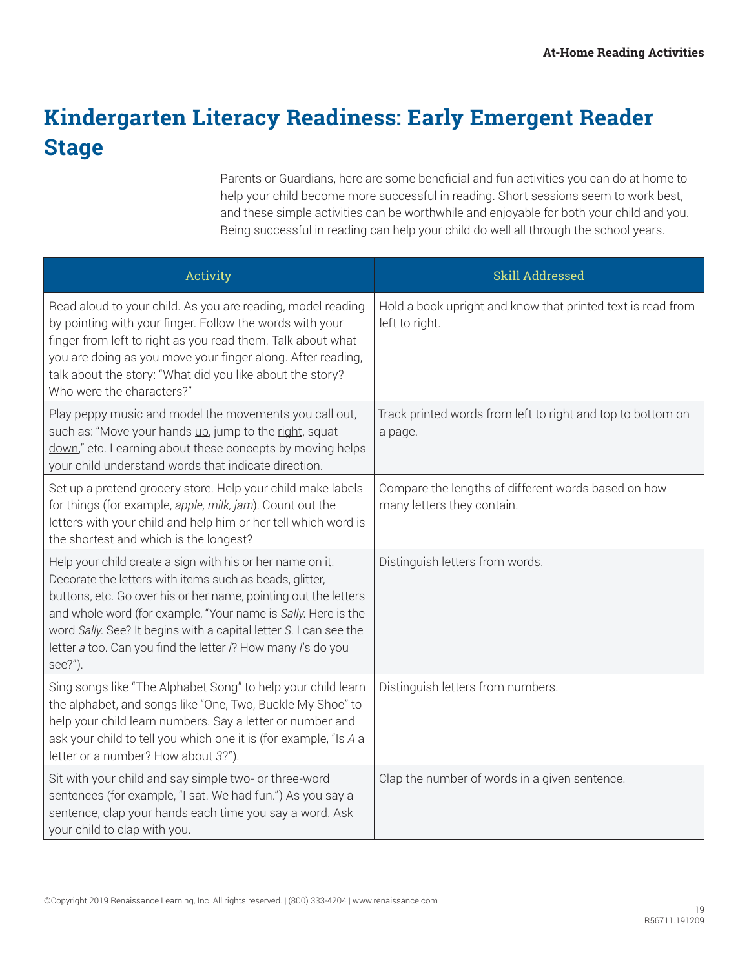## **Kindergarten Literacy Readiness: Early Emergent Reader Stage**

Parents or Guardians, here are some beneficial and fun activities you can do at home to help your child become more successful in reading. Short sessions seem to work best, and these simple activities can be worthwhile and enjoyable for both your child and you. Being successful in reading can help your child do well all through the school years.

| Activity                                                                                                                                                                                                                                                                                                                                                                                                 | Skill Addressed                                                                   |
|----------------------------------------------------------------------------------------------------------------------------------------------------------------------------------------------------------------------------------------------------------------------------------------------------------------------------------------------------------------------------------------------------------|-----------------------------------------------------------------------------------|
| Read aloud to your child. As you are reading, model reading<br>by pointing with your finger. Follow the words with your<br>finger from left to right as you read them. Talk about what<br>you are doing as you move your finger along. After reading,<br>talk about the story: "What did you like about the story?<br>Who were the characters?"                                                          | Hold a book upright and know that printed text is read from<br>left to right.     |
| Play peppy music and model the movements you call out,<br>such as: "Move your hands up, jump to the right, squat<br>down," etc. Learning about these concepts by moving helps<br>your child understand words that indicate direction.                                                                                                                                                                    | Track printed words from left to right and top to bottom on<br>a page.            |
| Set up a pretend grocery store. Help your child make labels<br>for things (for example, apple, milk, jam). Count out the<br>letters with your child and help him or her tell which word is<br>the shortest and which is the longest?                                                                                                                                                                     | Compare the lengths of different words based on how<br>many letters they contain. |
| Help your child create a sign with his or her name on it.<br>Decorate the letters with items such as beads, glitter,<br>buttons, etc. Go over his or her name, pointing out the letters<br>and whole word (for example, "Your name is Sally. Here is the<br>word Sally. See? It begins with a capital letter S. I can see the<br>letter a too. Can you find the letter /? How many /'s do you<br>see?"). | Distinguish letters from words.                                                   |
| Sing songs like "The Alphabet Song" to help your child learn<br>the alphabet, and songs like "One, Two, Buckle My Shoe" to<br>help your child learn numbers. Say a letter or number and<br>ask your child to tell you which one it is (for example, "Is A a<br>letter or a number? How about 3?").                                                                                                       | Distinguish letters from numbers.                                                 |
| Sit with your child and say simple two- or three-word<br>sentences (for example, "I sat. We had fun.") As you say a<br>sentence, clap your hands each time you say a word. Ask<br>your child to clap with you.                                                                                                                                                                                           | Clap the number of words in a given sentence.                                     |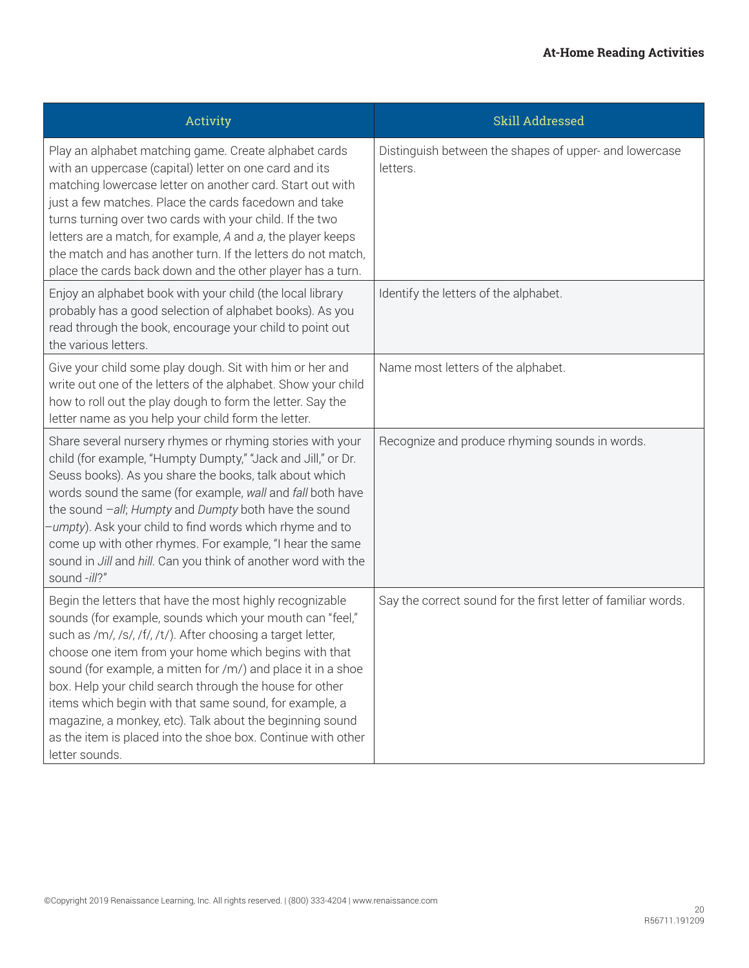| Activity                                                                                                                                                                                                                                                                                                                                                                                                                                                                                                                                                                         | Skill Addressed                                                    |
|----------------------------------------------------------------------------------------------------------------------------------------------------------------------------------------------------------------------------------------------------------------------------------------------------------------------------------------------------------------------------------------------------------------------------------------------------------------------------------------------------------------------------------------------------------------------------------|--------------------------------------------------------------------|
| Play an alphabet matching game. Create alphabet cards<br>with an uppercase (capital) letter on one card and its<br>matching lowercase letter on another card. Start out with<br>just a few matches. Place the cards facedown and take<br>turns turning over two cards with your child. If the two<br>letters are a match, for example, A and a, the player keeps<br>the match and has another turn. If the letters do not match.<br>place the cards back down and the other player has a turn.                                                                                   | Distinguish between the shapes of upper- and lowercase<br>letters. |
| Enjoy an alphabet book with your child (the local library<br>probably has a good selection of alphabet books). As you<br>read through the book, encourage your child to point out<br>the various letters.                                                                                                                                                                                                                                                                                                                                                                        | Identify the letters of the alphabet.                              |
| Give your child some play dough. Sit with him or her and<br>write out one of the letters of the alphabet. Show your child<br>how to roll out the play dough to form the letter. Say the<br>letter name as you help your child form the letter.                                                                                                                                                                                                                                                                                                                                   | Name most letters of the alphabet.                                 |
| Share several nursery rhymes or rhyming stories with your<br>child (for example, "Humpty Dumpty," "Jack and Jill," or Dr.<br>Seuss books). As you share the books, talk about which<br>words sound the same (for example, wall and fall both have<br>the sound -all; Humpty and Dumpty both have the sound<br>-umpty). Ask your child to find words which rhyme and to<br>come up with other rhymes. For example, "I hear the same<br>sound in Jill and hill. Can you think of another word with the<br>sound -ill?"                                                             | Recognize and produce rhyming sounds in words.                     |
| Begin the letters that have the most highly recognizable<br>sounds (for example, sounds which your mouth can "feel,"<br>such as /m/, /s/, /f/, /t/). After choosing a target letter,<br>choose one item from your home which begins with that<br>sound (for example, a mitten for /m/) and place it in a shoe<br>box. Help your child search through the house for other<br>items which begin with that same sound, for example, a<br>magazine, a monkey, etc). Talk about the beginning sound<br>as the item is placed into the shoe box. Continue with other<br>letter sounds. | Say the correct sound for the first letter of familiar words.      |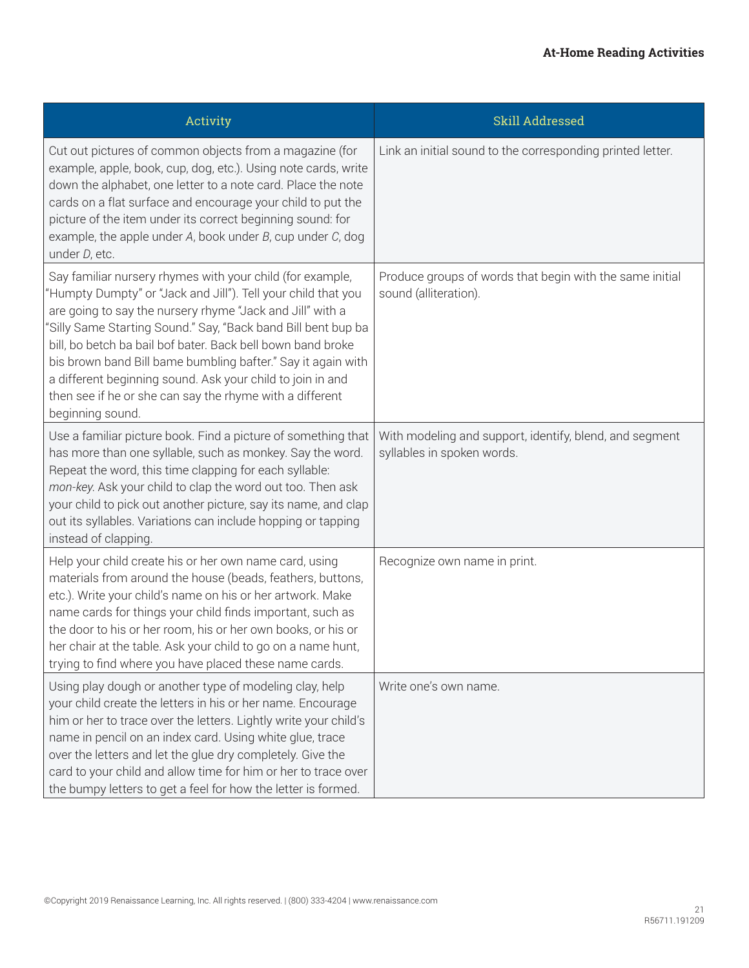| Activity                                                                                                                                                                                                                                                                                                                                                                                                                                                                                                                              | Skill Addressed                                                                       |
|---------------------------------------------------------------------------------------------------------------------------------------------------------------------------------------------------------------------------------------------------------------------------------------------------------------------------------------------------------------------------------------------------------------------------------------------------------------------------------------------------------------------------------------|---------------------------------------------------------------------------------------|
| Cut out pictures of common objects from a magazine (for<br>example, apple, book, cup, dog, etc.). Using note cards, write<br>down the alphabet, one letter to a note card. Place the note<br>cards on a flat surface and encourage your child to put the<br>picture of the item under its correct beginning sound: for<br>example, the apple under $A$ , book under $B$ , cup under $C$ , dog<br>under D, etc.                                                                                                                        | Link an initial sound to the corresponding printed letter.                            |
| Say familiar nursery rhymes with your child (for example,<br>'Humpty Dumpty" or "Jack and Jill"). Tell your child that you<br>are going to say the nursery rhyme "Jack and Jill" with a<br>"Silly Same Starting Sound." Say, "Back band Bill bent bup ba<br>bill, bo betch ba bail bof bater. Back bell bown band broke<br>bis brown band Bill bame bumbling bafter." Say it again with<br>a different beginning sound. Ask your child to join in and<br>then see if he or she can say the rhyme with a different<br>beginning sound. | Produce groups of words that begin with the same initial<br>sound (alliteration).     |
| Use a familiar picture book. Find a picture of something that<br>has more than one syllable, such as monkey. Say the word.<br>Repeat the word, this time clapping for each syllable:<br>mon-key. Ask your child to clap the word out too. Then ask<br>your child to pick out another picture, say its name, and clap<br>out its syllables. Variations can include hopping or tapping<br>instead of clapping.                                                                                                                          | With modeling and support, identify, blend, and segment<br>syllables in spoken words. |
| Help your child create his or her own name card, using<br>materials from around the house (beads, feathers, buttons,<br>etc.). Write your child's name on his or her artwork. Make<br>name cards for things your child finds important, such as<br>the door to his or her room, his or her own books, or his or<br>her chair at the table. Ask your child to go on a name hunt,<br>trying to find where you have placed these name cards.                                                                                             | Recognize own name in print.                                                          |
| Using play dough or another type of modeling clay, help<br>your child create the letters in his or her name. Encourage<br>him or her to trace over the letters. Lightly write your child's<br>name in pencil on an index card. Using white glue, trace<br>over the letters and let the glue dry completely. Give the<br>card to your child and allow time for him or her to trace over<br>the bumpy letters to get a feel for how the letter is formed.                                                                               | Write one's own name.                                                                 |